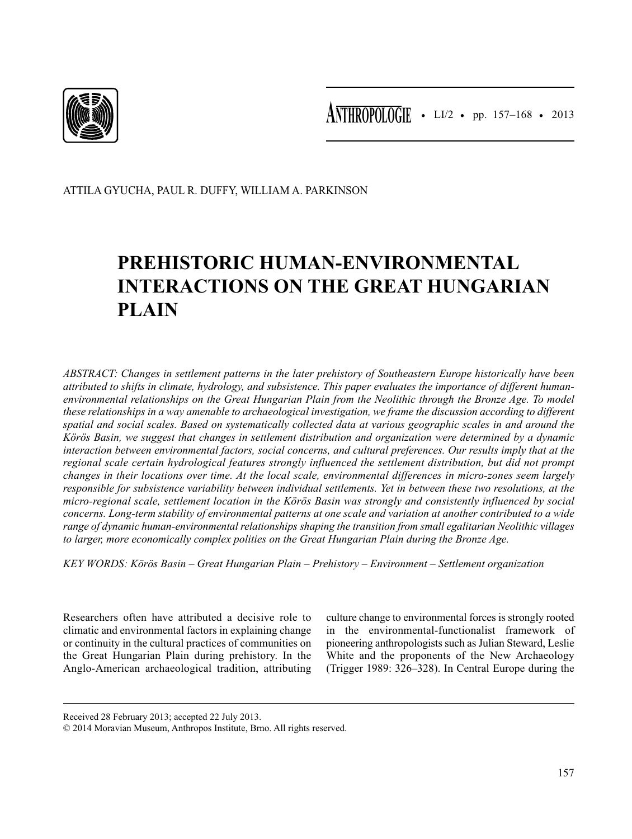

**ANTHROPOLOGIE •** LI/2 • pp. 157–168 • 2013

ATTILA GYUCHA, PAUL R. DUFFY, WILLIAM A. PARKINSON

# **PREHISTORIC HUMAN-ENVIRONMENTAL INTERACTIONS ON THE GREAT HUNGARIAN PLAIN**

*ABSTRACT: Changes in settlement patterns in the later prehistory of Southeastern Europe historically have been attributed to shifts in climate, hydrology, and subsistence. This paper evaluates the importance of different humanenvironmental relationships on the Great Hungarian Plain from the Neolithic through the Bronze Age. To model these relationships in a way amenable to archaeological investigation, we frame the discussion according to different spatial and social scales. Based on systematically collected data at various geographic scales in and around the Körös Basin, we suggest that changes in settlement distribution and organization were determined by a dynamic interaction between environmental factors, social concerns, and cultural preferences. Our results imply that at the regional scale certain hydrological features strongly influenced the settlement distribution, but did not prompt changes in their locations over time. At the local scale, environmental differences in micro-zones seem largely responsible for subsistence variability between individual settlements. Yet in between these two resolutions, at the micro-regional scale, settlement location in the Körös Basin was strongly and consistently influenced by social concerns. Long-term stability of environmental patterns at one scale and variation at another contributed to a wide range of dynamic human-environmental relationships shaping the transition from small egalitarian Neolithic villages to larger, more economically complex polities on the Great Hungarian Plain during the Bronze Age.*

*KEY WORDS: Körös Basin – Great Hungarian Plain – Prehistory – Environment – Settlement organization*

Researchers often have attributed a decisive role to climatic and environmental factors in explaining change or continuity in the cultural practices of communities on the Great Hungarian Plain during prehistory. In the Anglo-American archaeological tradition, attributing culture change to environmental forces is strongly rooted in the environmental-functionalist framework of pioneering anthropologists such as Julian Steward, Leslie White and the proponents of the New Archaeology (Trigger 1989: 326–328). In Central Europe during the

Received 28 February 2013; accepted 22 July 2013.

<sup>© 2014</sup> Moravian Museum, Anthropos Institute, Brno. All rights reserved.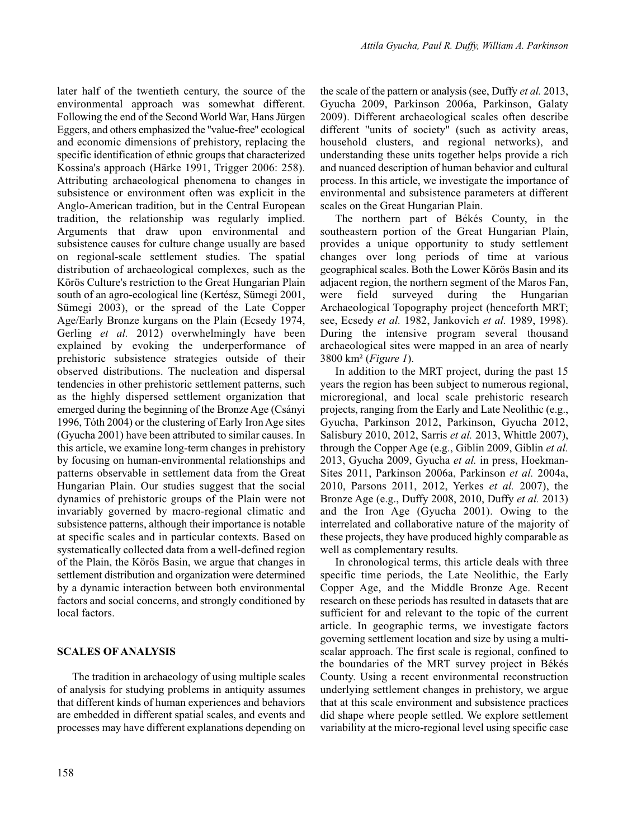later half of the twentieth century, the source of the environmental approach was somewhat different. Following the end of the Second World War, Hans Jürgen Eggers, and others emphasized the ''value-free'' ecological and economic dimensions of prehistory, replacing the specific identification of ethnic groups that characterized Kossina's approach (Härke 1991, Trigger 2006: 258). Attributing archaeological phenomena to changes in subsistence or environment often was explicit in the Anglo-American tradition, but in the Central European tradition, the relationship was regularly implied. Arguments that draw upon environmental and subsistence causes for culture change usually are based on regional-scale settlement studies. The spatial distribution of archaeological complexes, such as the Körös Culture's restriction to the Great Hungarian Plain south of an agro-ecological line (Kertész, Sümegi 2001, Sümegi 2003), or the spread of the Late Copper Age/Early Bronze kurgans on the Plain (Ecsedy 1974, Gerling *et al.* 2012) overwhelmingly have been explained by evoking the underperformance of prehistoric subsistence strategies outside of their observed distributions. The nucleation and dispersal tendencies in other prehistoric settlement patterns, such as the highly dispersed settlement organization that emerged during the beginning of the Bronze Age (Csányi 1996, Tóth 2004) or the clustering of Early Iron Age sites (Gyucha 2001) have been attributed to similar causes. In this article, we examine long-term changes in prehistory by focusing on human-environmental relationships and patterns observable in settlement data from the Great Hungarian Plain. Our studies suggest that the social dynamics of prehistoric groups of the Plain were not invariably governed by macro-regional climatic and subsistence patterns, although their importance is notable at specific scales and in particular contexts. Based on systematically collected data from a well-defined region of the Plain, the Körös Basin, we argue that changes in settlement distribution and organization were determined by a dynamic interaction between both environmental factors and social concerns, and strongly conditioned by local factors.

#### **SCALES OF ANALYSIS**

The tradition in archaeology of using multiple scales of analysis for studying problems in antiquity assumes that different kinds of human experiences and behaviors are embedded in different spatial scales, and events and processes may have different explanations depending on the scale of the pattern or analysis (see, Duffy *et al.* 2013, Gyucha 2009, Parkinson 2006a, Parkinson, Galaty 2009). Different archaeological scales often describe different ''units of society'' (such as activity areas, household clusters, and regional networks), and understanding these units together helps provide a rich and nuanced description of human behavior and cultural process. In this article, we investigate the importance of environmental and subsistence parameters at different scales on the Great Hungarian Plain.

The northern part of Békés County, in the southeastern portion of the Great Hungarian Plain, provides a unique opportunity to study settlement changes over long periods of time at various geographical scales. Both the Lower Körös Basin and its adjacent region, the northern segment of the Maros Fan, were field surveyed during the Hungarian Archaeological Topography project (henceforth MRT; see, Ecsedy *et al.* 1982, Jankovich *et al.* 1989, 1998). During the intensive program several thousand archaeological sites were mapped in an area of nearly 3800 km² (*Figure 1*).

In addition to the MRT project, during the past 15 years the region has been subject to numerous regional, microregional, and local scale prehistoric research projects, ranging from the Early and Late Neolithic (e.g., Gyucha, Parkinson 2012, Parkinson, Gyucha 2012, Salisbury 2010, 2012, Sarris *et al.* 2013, Whittle 2007), through the Copper Age (e.g., Giblin 2009, Giblin *et al.* 2013, Gyucha 2009, Gyucha *et al.* in press, Hoekman-Sites 2011, Parkinson 2006a, Parkinson *et al.* 2004a, 2010, Parsons 2011, 2012, Yerkes *et al.* 2007), the Bronze Age (e.g., Duffy 2008, 2010, Duffy *et al.* 2013) and the Iron Age (Gyucha 2001). Owing to the interrelated and collaborative nature of the majority of these projects, they have produced highly comparable as well as complementary results.

In chronological terms, this article deals with three specific time periods, the Late Neolithic, the Early Copper Age, and the Middle Bronze Age. Recent research on these periods has resulted in datasets that are sufficient for and relevant to the topic of the current article. In geographic terms, we investigate factors governing settlement location and size by using a multiscalar approach. The first scale is regional, confined to the boundaries of the MRT survey project in Békés County. Using a recent environmental reconstruction underlying settlement changes in prehistory, we argue that at this scale environment and subsistence practices did shape where people settled. We explore settlement variability at the micro-regional level using specific case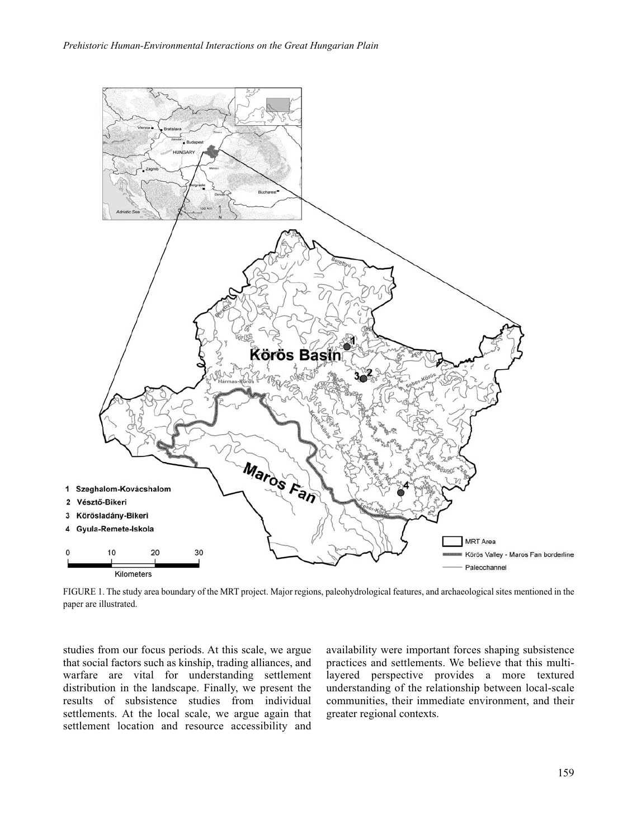

FIGURE 1. The study area boundary of the MRT project. Major regions, paleohydrological features, and archaeological sites mentioned in the paper are illustrated.

studies from our focus periods. At this scale, we argue that social factors such as kinship, trading alliances, and warfare are vital for understanding settlement distribution in the landscape. Finally, we present the results of subsistence studies from individual settlements. At the local scale, we argue again that settlement location and resource accessibility and

availability were important forces shaping subsistence practices and settlements. We believe that this multilayered perspective provides a more textured understanding of the relationship between local-scale communities, their immediate environment, and their greater regional contexts.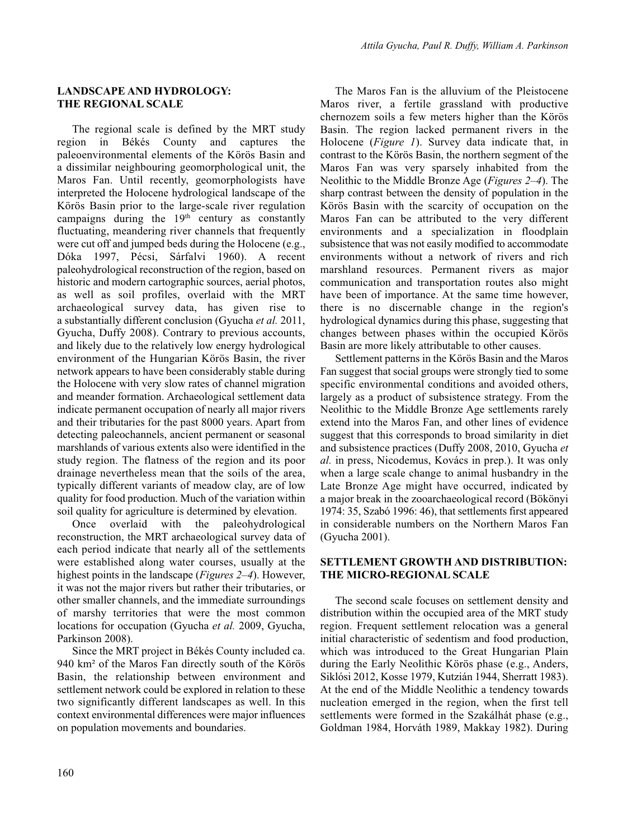## **LANDSCAPE AND HYDROLOGY: THE REGIONAL SCALE**

The regional scale is defined by the MRT study region in Békés County and captures the paleoenvironmental elements of the Körös Basin and a dissimilar neighbouring geomorphological unit, the Maros Fan. Until recently, geomorphologists have interpreted the Holocene hydrological landscape of the Körös Basin prior to the large-scale river regulation campaigns during the 19<sup>th</sup> century as constantly fluctuating, meandering river channels that frequently were cut off and jumped beds during the Holocene (e.g., Dóka 1997, Pécsi, Sárfalvi 1960). A recent paleohydrological reconstruction of the region, based on historic and modern cartographic sources, aerial photos, as well as soil profiles, overlaid with the MRT archaeological survey data, has given rise to a substantially different conclusion (Gyucha *et al.* 2011, Gyucha, Duffy 2008). Contrary to previous accounts, and likely due to the relatively low energy hydrological environment of the Hungarian Körös Basin, the river network appears to have been considerably stable during the Holocene with very slow rates of channel migration and meander formation. Archaeological settlement data indicate permanent occupation of nearly all major rivers and their tributaries for the past 8000 years. Apart from detecting paleochannels, ancient permanent or seasonal marshlands of various extents also were identified in the study region. The flatness of the region and its poor drainage nevertheless mean that the soils of the area, typically different variants of meadow clay, are of low quality for food production. Much of the variation within soil quality for agriculture is determined by elevation.

Once overlaid with the paleohydrological reconstruction, the MRT archaeological survey data of each period indicate that nearly all of the settlements were established along water courses, usually at the highest points in the landscape (*Figures 2–4*). However, it was not the major rivers but rather their tributaries, or other smaller channels, and the immediate surroundings of marshy territories that were the most common locations for occupation (Gyucha *et al.* 2009, Gyucha, Parkinson 2008).

Since the MRT project in Békés County included ca. 940 km² of the Maros Fan directly south of the Körös Basin, the relationship between environment and settlement network could be explored in relation to these two significantly different landscapes as well. In this context environmental differences were major influences on population movements and boundaries.

The Maros Fan is the alluvium of the Pleistocene Maros river, a fertile grassland with productive chernozem soils a few meters higher than the Körös Basin. The region lacked permanent rivers in the Holocene (*Figure 1*). Survey data indicate that, in contrast to the Körös Basin, the northern segment of the Maros Fan was very sparsely inhabited from the Neolithic to the Middle Bronze Age (*Figures 2–4*). The sharp contrast between the density of population in the Körös Basin with the scarcity of occupation on the Maros Fan can be attributed to the very different environments and a specialization in floodplain subsistence that was not easily modified to accommodate environments without a network of rivers and rich marshland resources. Permanent rivers as major communication and transportation routes also might have been of importance. At the same time however, there is no discernable change in the region's hydrological dynamics during this phase, suggesting that changes between phases within the occupied Körös Basin are more likely attributable to other causes.

Settlement patterns in the Körös Basin and the Maros Fan suggest that social groups were strongly tied to some specific environmental conditions and avoided others, largely as a product of subsistence strategy. From the Neolithic to the Middle Bronze Age settlements rarely extend into the Maros Fan, and other lines of evidence suggest that this corresponds to broad similarity in diet and subsistence practices (Duffy 2008, 2010, Gyucha *et al.* in press, Nicodemus, Kovács in prep.). It was only when a large scale change to animal husbandry in the Late Bronze Age might have occurred, indicated by a major break in the zooarchaeological record (Bökönyi 1974: 35, Szabó 1996: 46), that settlements first appeared in considerable numbers on the Northern Maros Fan (Gyucha 2001).

## **SETTLEMENT GROWTH AND DISTRIBUTION: THE MICRO-REGIONAL SCALE**

The second scale focuses on settlement density and distribution within the occupied area of the MRT study region. Frequent settlement relocation was a general initial characteristic of sedentism and food production, which was introduced to the Great Hungarian Plain during the Early Neolithic Körös phase (e.g., Anders, Siklósi 2012, Kosse 1979, Kutzián 1944, Sherratt 1983). At the end of the Middle Neolithic a tendency towards nucleation emerged in the region, when the first tell settlements were formed in the Szakálhát phase (e.g., Goldman 1984, Horváth 1989, Makkay 1982). During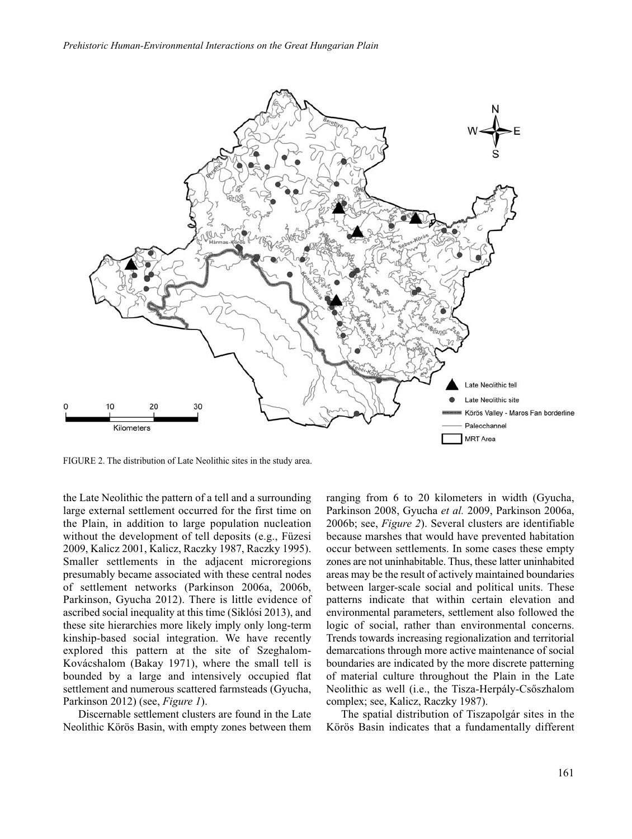

FIGURE 2. The distribution of Late Neolithic sites in the study area.

the Late Neolithic the pattern of a tell and a surrounding large external settlement occurred for the first time on the Plain, in addition to large population nucleation without the development of tell deposits (e.g., Füzesi 2009, Kalicz 2001, Kalicz, Raczky 1987, Raczky 1995). Smaller settlements in the adjacent microregions presumably became associated with these central nodes of settlement networks (Parkinson 2006a, 2006b, Parkinson, Gyucha 2012). There is little evidence of ascribed social inequality at this time (Siklósi 2013), and these site hierarchies more likely imply only long-term kinship-based social integration. We have recently explored this pattern at the site of Szeghalom-Kovácshalom (Bakay 1971), where the small tell is bounded by a large and intensively occupied flat settlement and numerous scattered farmsteads (Gyucha, Parkinson 2012) (see, *Figure 1*).

Discernable settlement clusters are found in the Late Neolithic Körös Basin, with empty zones between them ranging from 6 to 20 kilometers in width (Gyucha, Parkinson 2008, Gyucha *et al.* 2009, Parkinson 2006a, 2006b; see, *Figure 2*). Several clusters are identifiable because marshes that would have prevented habitation occur between settlements. In some cases these empty zones are not uninhabitable. Thus, these latter uninhabited areas may be the result of actively maintained boundaries between larger-scale social and political units. These patterns indicate that within certain elevation and environmental parameters, settlement also followed the logic of social, rather than environmental concerns. Trends towards increasing regionalization and territorial demarcations through more active maintenance of social boundaries are indicated by the more discrete patterning of material culture throughout the Plain in the Late Neolithic as well (i.e., the Tisza-Herpály-Csőszhalom complex; see, Kalicz, Raczky 1987).

The spatial distribution of Tiszapolgár sites in the Körös Basin indicates that a fundamentally different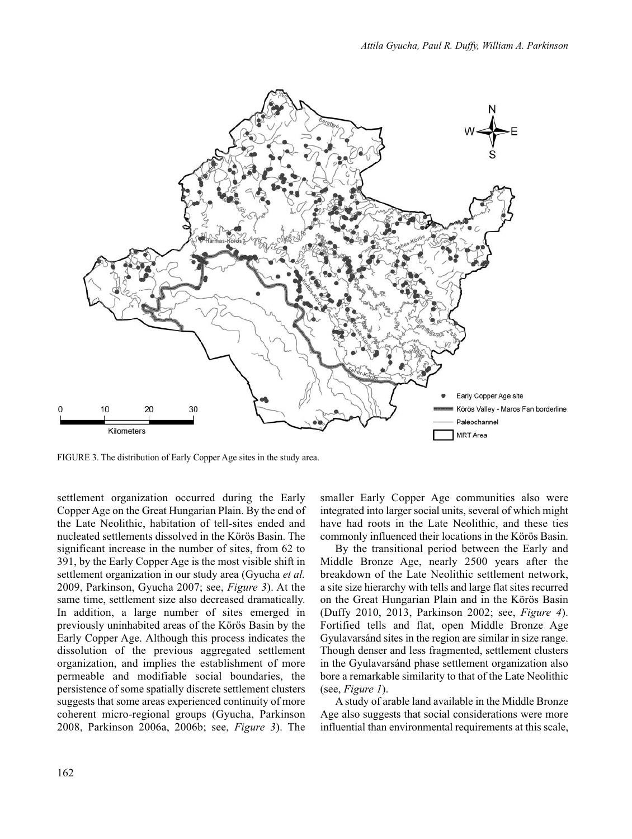

FIGURE 3. The distribution of Early Copper Age sites in the study area.

settlement organization occurred during the Early Copper Age on the Great Hungarian Plain. By the end of the Late Neolithic, habitation of tell-sites ended and nucleated settlements dissolved in the Körös Basin. The significant increase in the number of sites, from 62 to 391, by the Early Copper Age is the most visible shift in settlement organization in our study area (Gyucha *et al.* 2009, Parkinson, Gyucha 2007; see, *Figure 3*). At the same time, settlement size also decreased dramatically. In addition, a large number of sites emerged in previously uninhabited areas of the Körös Basin by the Early Copper Age. Although this process indicates the dissolution of the previous aggregated settlement organization, and implies the establishment of more permeable and modifiable social boundaries, the persistence of some spatially discrete settlement clusters suggests that some areas experienced continuity of more coherent micro-regional groups (Gyucha, Parkinson 2008, Parkinson 2006a, 2006b; see, *Figure 3*). The

smaller Early Copper Age communities also were integrated into larger social units, several of which might have had roots in the Late Neolithic, and these ties commonly influenced their locations in the Körös Basin.

By the transitional period between the Early and Middle Bronze Age, nearly 2500 years after the breakdown of the Late Neolithic settlement network, a site size hierarchy with tells and large flat sites recurred on the Great Hungarian Plain and in the Körös Basin (Duffy 2010, 2013, Parkinson 2002; see, *Figure 4*). Fortified tells and flat, open Middle Bronze Age Gyulavarsánd sites in the region are similar in size range. Though denser and less fragmented, settlement clusters in the Gyulavarsánd phase settlement organization also bore a remarkable similarity to that of the Late Neolithic (see, *Figure 1*).

A study of arable land available in the Middle Bronze Age also suggests that social considerations were more influential than environmental requirements at this scale,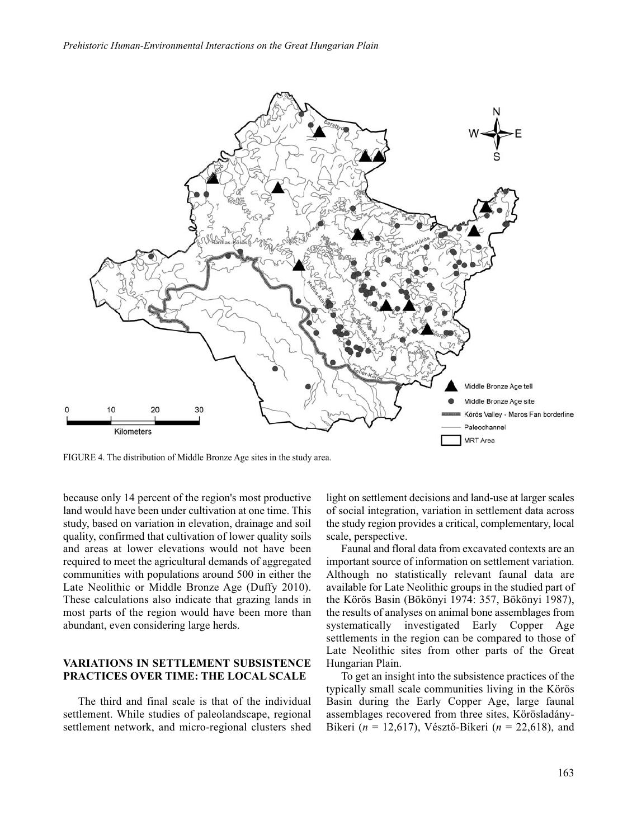

FIGURE 4. The distribution of Middle Bronze Age sites in the study area.

because only 14 percent of the region's most productive land would have been under cultivation at one time. This study, based on variation in elevation, drainage and soil quality, confirmed that cultivation of lower quality soils and areas at lower elevations would not have been required to meet the agricultural demands of aggregated communities with populations around 500 in either the Late Neolithic or Middle Bronze Age (Duffy 2010). These calculations also indicate that grazing lands in most parts of the region would have been more than abundant, even considering large herds.

#### **VARIATIONS IN SETTLEMENT SUBSISTENCE PRACTICES OVER TIME: THE LOCAL SCALE**

The third and final scale is that of the individual settlement. While studies of paleolandscape, regional settlement network, and micro-regional clusters shed light on settlement decisions and land-use at larger scales of social integration, variation in settlement data across the study region provides a critical, complementary, local scale, perspective.

Faunal and floral data from excavated contexts are an important source of information on settlement variation. Although no statistically relevant faunal data are available for Late Neolithic groups in the studied part of the Körös Basin (Bökönyi 1974: 357, Bökönyi 1987), the results of analyses on animal bone assemblages from systematically investigated Early Copper Age settlements in the region can be compared to those of Late Neolithic sites from other parts of the Great Hungarian Plain.

To get an insight into the subsistence practices of the typically small scale communities living in the Körös Basin during the Early Copper Age, large faunal assemblages recovered from three sites, Körösladány-Bikeri (*n* = 12,617), Vésztő-Bikeri (*n* = 22,618), and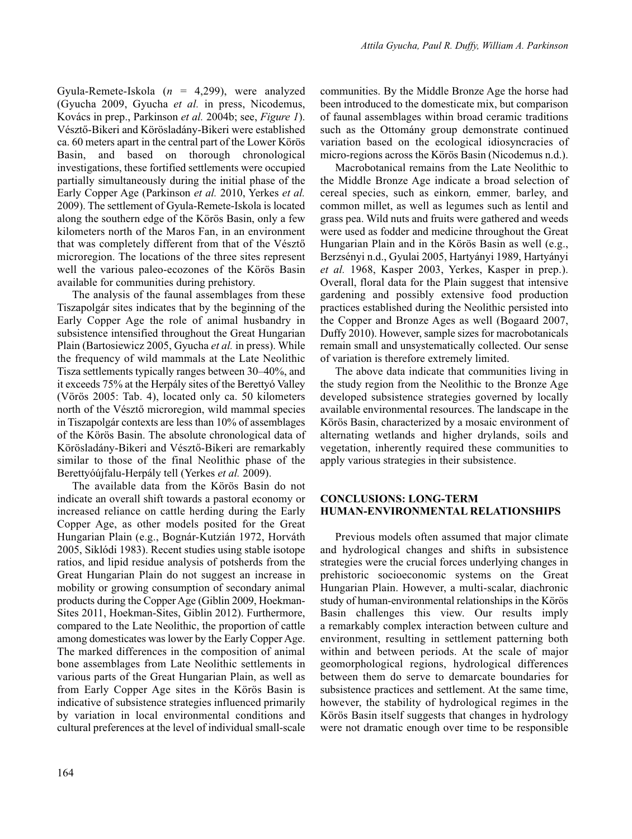Gyula-Remete-Iskola (*n* = 4,299), were analyzed (Gyucha 2009, Gyucha *et al.* in press, Nicodemus, Kovács in prep., Parkinson *et al.* 2004b; see, *Figure 1*). Vésztő-Bikeri and Körösladány-Bikeri were established ca. 60 meters apart in the central part of the Lower Körös Basin, and based on thorough chronological investigations, these fortified settlements were occupied partially simultaneously during the initial phase of the Early Copper Age (Parkinson *et al.* 2010, Yerkes *et al.* 2009). The settlement of Gyula-Remete-Iskola is located along the southern edge of the Körös Basin, only a few kilometers north of the Maros Fan, in an environment that was completely different from that of the Vésztő microregion. The locations of the three sites represent well the various paleo-ecozones of the Körös Basin available for communities during prehistory.

The analysis of the faunal assemblages from these Tiszapolgár sites indicates that by the beginning of the Early Copper Age the role of animal husbandry in subsistence intensified throughout the Great Hungarian Plain (Bartosiewicz 2005, Gyucha *et al.* in press). While the frequency of wild mammals at the Late Neolithic Tisza settlements typically ranges between 30–40%, and it exceeds 75% at the Herpály sites of the Berettyó Valley (Vörös 2005: Tab. 4), located only ca. 50 kilometers north of the Vésztő microregion, wild mammal species in Tiszapolgár contexts are less than 10% of assemblages of the Körös Basin. The absolute chronological data of Körösladány-Bikeri and Vésztő-Bikeri are remarkably similar to those of the final Neolithic phase of the Berettyóújfalu-Herpály tell (Yerkes *et al.* 2009).

The available data from the Körös Basin do not indicate an overall shift towards a pastoral economy or increased reliance on cattle herding during the Early Copper Age, as other models posited for the Great Hungarian Plain (e.g., Bognár-Kutzián 1972, Horváth 2005, Siklódi 1983). Recent studies using stable isotope ratios, and lipid residue analysis of potsherds from the Great Hungarian Plain do not suggest an increase in mobility or growing consumption of secondary animal products during the Copper Age (Giblin 2009, Hoekman-Sites 2011, Hoekman-Sites, Giblin 2012). Furthermore, compared to the Late Neolithic, the proportion of cattle among domesticates was lower by the Early Copper Age. The marked differences in the composition of animal bone assemblages from Late Neolithic settlements in various parts of the Great Hungarian Plain, as well as from Early Copper Age sites in the Körös Basin is indicative of subsistence strategies influenced primarily by variation in local environmental conditions and cultural preferences at the level of individual small-scale communities. By the Middle Bronze Age the horse had been introduced to the domesticate mix, but comparison of faunal assemblages within broad ceramic traditions such as the Ottomány group demonstrate continued variation based on the ecological idiosyncracies of micro-regions across the Körös Basin (Nicodemus n.d.).

Macrobotanical remains from the Late Neolithic to the Middle Bronze Age indicate a broad selection of cereal species, such as einkorn*,* emmer*,* barley, and common millet, as well as legumes such as lentil and grass pea. Wild nuts and fruits were gathered and weeds were used as fodder and medicine throughout the Great Hungarian Plain and in the Körös Basin as well (e.g., Berzsényi n.d., Gyulai 2005, Hartyányi 1989, Hartyányi *et al.* 1968, Kasper 2003, Yerkes, Kasper in prep.). Overall, floral data for the Plain suggest that intensive gardening and possibly extensive food production practices established during the Neolithic persisted into the Copper and Bronze Ages as well (Bogaard 2007, Duffy 2010). However, sample sizes for macrobotanicals remain small and unsystematically collected. Our sense of variation is therefore extremely limited.

The above data indicate that communities living in the study region from the Neolithic to the Bronze Age developed subsistence strategies governed by locally available environmental resources. The landscape in the Körös Basin, characterized by a mosaic environment of alternating wetlands and higher drylands, soils and vegetation, inherently required these communities to apply various strategies in their subsistence.

## **CONCLUSIONS: LONG-TERM HUMAN-ENVIRONMENTAL RELATIONSHIPS**

Previous models often assumed that major climate and hydrological changes and shifts in subsistence strategies were the crucial forces underlying changes in prehistoric socioeconomic systems on the Great Hungarian Plain. However, a multi-scalar, diachronic study of human-environmental relationships in the Körös Basin challenges this view. Our results imply a remarkably complex interaction between culture and environment, resulting in settlement patterning both within and between periods. At the scale of major geomorphological regions, hydrological differences between them do serve to demarcate boundaries for subsistence practices and settlement. At the same time, however, the stability of hydrological regimes in the Körös Basin itself suggests that changes in hydrology were not dramatic enough over time to be responsible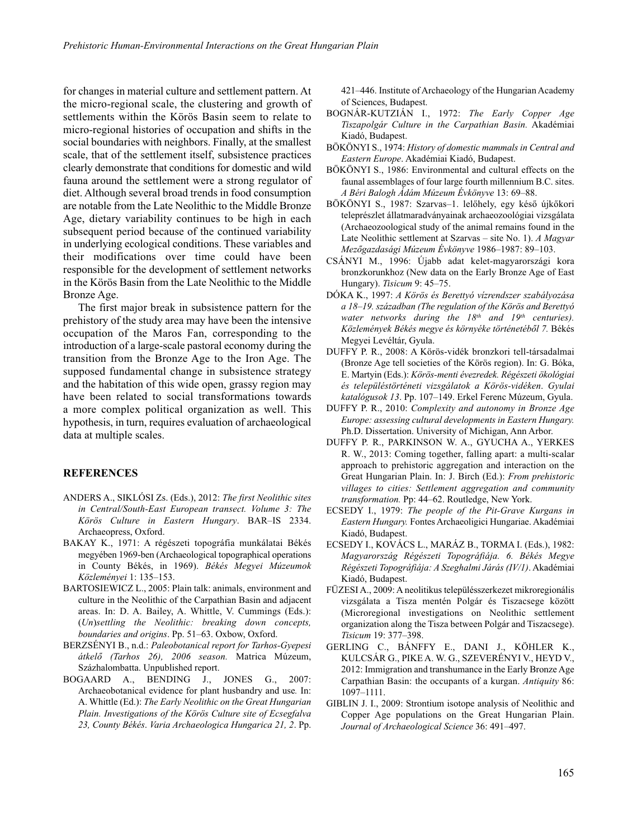for changes in material culture and settlement pattern. At the micro-regional scale, the clustering and growth of settlements within the Körös Basin seem to relate to micro-regional histories of occupation and shifts in the social boundaries with neighbors. Finally, at the smallest scale, that of the settlement itself, subsistence practices clearly demonstrate that conditions for domestic and wild fauna around the settlement were a strong regulator of diet. Although several broad trends in food consumption are notable from the Late Neolithic to the Middle Bronze Age, dietary variability continues to be high in each subsequent period because of the continued variability in underlying ecological conditions. These variables and their modifications over time could have been responsible for the development of settlement networks in the Körös Basin from the Late Neolithic to the Middle Bronze Age.

The first major break in subsistence pattern for the prehistory of the study area may have been the intensive occupation of the Maros Fan, corresponding to the introduction of a large-scale pastoral economy during the transition from the Bronze Age to the Iron Age. The supposed fundamental change in subsistence strategy and the habitation of this wide open, grassy region may have been related to social transformations towards a more complex political organization as well. This hypothesis, in turn, requires evaluation of archaeological data at multiple scales.

#### **REFERENCES**

- ANDERS A., SIKLÓSI Zs. (Eds.), 2012: *The first Neolithic sites in Central/South-East European transect. Volume 3: The Körös Culture in Eastern Hungary*. BAR–IS 2334. Archaeopress, Oxford.
- BAKAY K., 1971: A régészeti topográfia munkálatai Békés megyében 1969-ben (Archaeological topographical operations in County Békés, in 1969). *Békés Megyei Múzeumok Közleményei* 1: 135–153.
- BARTOSIEWICZ L., 2005: Plain talk: animals, environment and culture in the Neolithic of the Carpathian Basin and adjacent areas. In: D. A. Bailey, A. Whittle, V. Cummings (Eds.): (*Un*)*settling the Neolithic: breaking down concepts, boundaries and origins*. Pp. 51–63. Oxbow, Oxford.
- BERZSÉNYI B., n.d.: *Paleobotanical report for Tarhos-Gyepesi átkelő (Tarhos 26), 2006 season.* Matrica Múzeum, Százhalombatta. Unpublished report.
- BOGAARD A., BENDING J., JONES G., 2007: Archaeobotanical evidence for plant husbandry and use*.* In: A. Whittle (Ed.): *The Early Neolithic on the Great Hungarian Plain. Investigations of the Körös Culture site of Ecsegfalva 23, County Békés*. *Varia Archaeologica Hungarica 21, 2*. Pp.

421–446. Institute of Archaeology of the Hungarian Academy of Sciences, Budapest.

- BOGNÁR-KUTZIÁN I., 1972: *The Early Copper Age Tiszapolgár Culture in the Carpathian Basin.* Akadémiai Kiadó, Budapest.
- BÖKÖNYI S., 1974: *History of domestic mammals in Central and Eastern Europe*. Akadémiai Kiadó, Budapest.
- BÖKÖNYI S., 1986: Environmental and cultural effects on the faunal assemblages of four large fourth millennium B.C. sites. *A Béri Balogh Ádám Múzeum Évkönyve* 13: 69–88.
- BÖKÖNYI S., 1987: Szarvas–1. lelőhely, egy késő újkőkori teleprészlet állatmaradványainak archaeozoológiai vizsgálata (Archaeozoological study of the animal remains found in the Late Neolithic settlement at Szarvas – site No. 1). *A Magyar Mezőgazdasági Múzeum Évkönyve* 1986–1987: 89–103.
- CSÁNYI M., 1996: Újabb adat kelet-magyarországi kora bronzkorunkhoz (New data on the Early Bronze Age of East Hungary). *Tisicum* 9: 45–75.
- DÓKA K., 1997: *A Körös és Berettyó vízrendszer szabályozása a 18–19. században (The regulation of the Körös and Berettyó water networks during the 18th and 19th centuries). Közlemények Békés megye és környéke történetéből 7.* Békés Megyei Levéltár, Gyula.
- DUFFY P. R., 2008: A Körös-vidék bronzkori tell-társadalmai (Bronze Age tell societies of the Körös region). In: G. Bóka, E. Martyin (Eds.): *Körös-menti évezredek. Régészeti ökológiai és településtörténeti vizsgálatok a Körös-vidéken*. *Gyulai katalógusok 13*. Pp. 107–149. Erkel Ferenc Múzeum, Gyula.
- DUFFY P. R., 2010: *Complexity and autonomy in Bronze Age Europe: assessing cultural developments in Eastern Hungary.* Ph.D. Dissertation. University of Michigan, Ann Arbor.
- DUFFY P. R., PARKINSON W. A., GYUCHA A., YERKES R. W., 2013: Coming together, falling apart: a multi-scalar approach to prehistoric aggregation and interaction on the Great Hungarian Plain. In: J. Birch (Ed.): *From prehistoric villages to cities: Settlement aggregation and community transformation.* Pp: 44–62. Routledge, New York.
- ECSEDY I., 1979: *The people of the Pit-Grave Kurgans in Eastern Hungary.* Fontes Archaeoligici Hungariae. Akadémiai Kiadó, Budapest.
- ECSEDY I., KOVÁCS L., MARÁZ B., TORMA I. (Eds.), 1982: *Magyarország Régészeti Topográfiája. 6. Békés Megye Régészeti Topográfiája: A Szeghalmi Járás (IV/1)*. Akadémiai Kiadó, Budapest.
- FÜZESI A., 2009: A neolitikus településszerkezet mikroregionális vizsgálata a Tisza mentén Polgár és Tiszacsege között (Microregional investigations on Neolithic settlement organization along the Tisza between Polgár and Tiszacsege). *Tisicum* 19: 377–398.
- GERLING C., BÁNFFY E., DANI J., KÖHLER K., KULCSÁR G., PIKE A. W. G., SZEVERÉNYI V., HEYD V., 2012: Immigration and transhumance in the Early Bronze Age Carpathian Basin: the occupants of a kurgan. *Antiquity* 86: 1097–1111.
- GIBLIN J. I., 2009: Strontium isotope analysis of Neolithic and Copper Age populations on the Great Hungarian Plain. *Journal of Archaeological Science* 36: 491–497.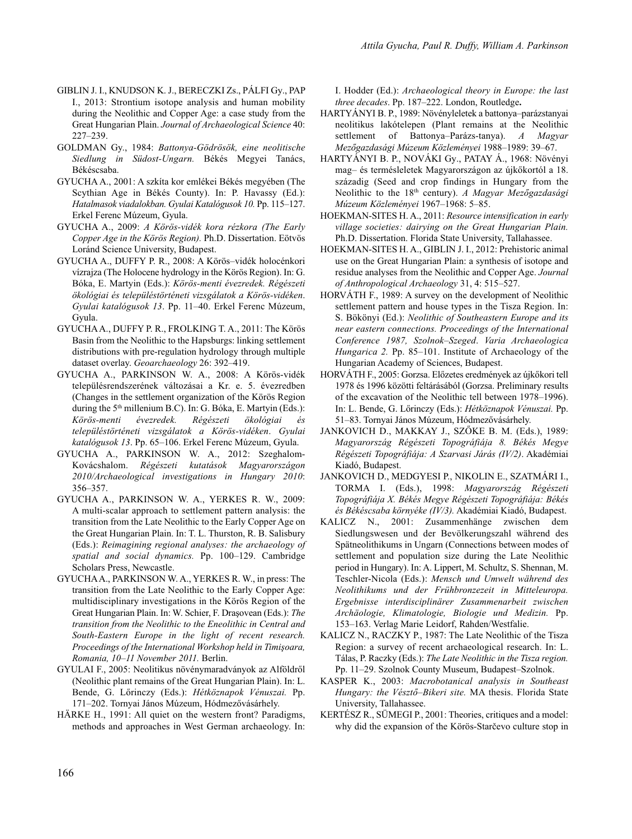- GIBLIN J. I., KNUDSON K. J., BERECZKI Zs., PÁLFI Gy., PAP I., 2013: Strontium isotope analysis and human mobility during the Neolithic and Copper Age: a case study from the Great Hungarian Plain. *Journal of Archaeological Science* 40: 227–239.
- GOLDMAN Gy., 1984: *Battonya-Gödrösök, eine neolitische Siedlung in Südost-Ungarn.* Békés Megyei Tanács, Békéscsaba.
- GYUCHA A., 2001: A szkíta kor emlékei Békés megyében (The Scythian Age in Békés County). In: P. Havassy (Ed.): *Hatalmasok viadalokban. Gyulai Katalógusok 10.* Pp. 115–127. Erkel Ferenc Múzeum, Gyula.
- GYUCHA A., 2009: *A Körös-vidék kora rézkora (The Early Copper Age in the Körös Region).* Ph.D. Dissertation. Eötvös Loránd Science University, Budapest.
- GYUCHA A., DUFFY P. R., 2008: A Körös–vidék holocénkori vízrajza (The Holocene hydrology in the Körös Region). In: G. Bóka, E. Martyin (Eds.): *Körös-menti évezredek. Régészeti ökológiai és településtörténeti vizsgálatok a Körös-vidéken*. *Gyulai katalógusok 13*. Pp. 11–40. Erkel Ferenc Múzeum, Gyula.
- GYUCHA A., DUFFY P. R., FROLKING T. A., 2011: The Körös Basin from the Neolithic to the Hapsburgs: linking settlement distributions with pre-regulation hydrology through multiple dataset overlay. *Geoarchaeology* 26: 392–419.
- GYUCHA A., PARKINSON W. A., 2008: A Körös-vidék településrendszerének változásai a Kr. e. 5. évezredben (Changes in the settlement organization of the Körös Region during the 5<sup>th</sup> millenium B.C). In: G. Bóka, E. Martyin (Eds.): *Körös-menti évezredek. Régészeti ökológiai és településtörténeti vizsgálatok a Körös-vidéken*. *Gyulai katalógusok 13*. Pp. 65–106. Erkel Ferenc Múzeum, Gyula.
- GYUCHA A., PARKINSON W. A., 2012: Szeghalom-Kovácshalom. *Régészeti kutatások Magyarországon 2010/Archaeological investigations in Hungary 2010*: 356–357.
- GYUCHA A., PARKINSON W. A., YERKES R. W., 2009: A multi-scalar approach to settlement pattern analysis: the transition from the Late Neolithic to the Early Copper Age on the Great Hungarian Plain. In: T. L. Thurston, R. B. Salisbury (Eds.): *Reimagining regional analyses: the archaeology of spatial and social dynamics.* Pp. 100–129. Cambridge Scholars Press, Newcastle.
- GYUCHA A., PARKINSON W. A., YERKES R. W., in press: The transition from the Late Neolithic to the Early Copper Age: multidisciplinary investigations in the Körös Region of the Great Hungarian Plain. In: W. Schier, F. Draşovean (Eds.): *The transition from the Neolithic to the Eneolithic in Central and South-Eastern Europe in the light of recent research. Proceedings of the International Workshop held in Timişoara, Romania, 10–11 November 2011.* Berlin.
- GYULAI F., 2005: Neolitikus növénymaradványok az Alföldről (Neolithic plant remains of the Great Hungarian Plain). In: L. Bende, G. Lőrinczy (Eds.): *Hétköznapok Vénuszai.* Pp. 171–202. Tornyai János Múzeum, Hódmezővásárhely.
- HÄRKE H., 1991: All quiet on the western front? Paradigms, methods and approaches in West German archaeology. In:

I. Hodder (Ed.): *Archaeological theory in Europe: the last three decades*. Pp. 187–222. London, Routledge**.**

- HARTYÁNYI B. P., 1989: Növényleletek a battonya–parázstanyai neolitikus lakótelepen (Plant remains at the Neolithic settlement of Battonya–Parázs-tanya). *A Magyar Mezőgazdasági Múzeum Közleményei* 1988–1989: 39–67.
- HARTYÁNYI B. P., NOVÁKI Gy., PATAY Á., 1968: Növényi mag– és termésleletek Magyarországon az újkőkortól a 18. századig (Seed and crop findings in Hungary from the Neolithic to the 18th century). *A Magyar Mezőgazdasági Múzeum Közleményei* 1967–1968: 5–85.
- HOEKMAN-SITES H. A., 2011: *Resource intensification in early village societies: dairying on the Great Hungarian Plain.* Ph.D. Dissertation. Florida State University, Tallahassee.
- HOEKMAN-SITES H. A., GIBLIN J. I., 2012: Prehistoric animal use on the Great Hungarian Plain: a synthesis of isotope and residue analyses from the Neolithic and Copper Age. *Journal of Anthropological Archaeology* 31, 4: 515–527.
- HORVÁTH F., 1989: A survey on the development of Neolithic settlement pattern and house types in the Tisza Region. In: S. Bökönyi (Ed.): *Neolithic of Southeastern Europe and its near eastern connections. Proceedings of the International Conference 1987, Szolnok–Szeged*. *Varia Archaeologica Hungarica 2.* Pp. 85–101. Institute of Archaeology of the Hungarian Academy of Sciences, Budapest.
- HORVÁTH F., 2005: Gorzsa. Előzetes eredmények az újkőkori tell 1978 és 1996 közötti feltárásából (Gorzsa. Preliminary results of the excavation of the Neolithic tell between 1978–1996). In: L. Bende, G. Lőrinczy (Eds.): *Hétköznapok Vénuszai.* Pp. 51–83. Tornyai János Múzeum, Hódmezővásárhely.
- JANKOVICH D., MAKKAY J., SZŐKE B. M. (Eds.), 1989: *Magyarország Régészeti Topográfiája 8. Békés Megye Régészeti Topográfiája: A Szarvasi Járás (IV/2)*. Akadémiai Kiadó, Budapest.
- JANKOVICH D., MEDGYESI P., NIKOLIN E., SZATMÁRI I., TORMA I. (Eds.), 1998: *Magyarország Régészeti Topográfiája X. Békés Megye Régészeti Topográfiája: Békés és Békéscsaba környéke (IV/3).* Akadémiai Kiadó, Budapest.
- KALICZ N., 2001: Zusammenhänge zwischen dem Siedlungswesen und der Bevölkerungszahl während des Spätneolithikums in Ungarn (Connections between modes of settlement and population size during the Late Neolithic period in Hungary). In: A. Lippert, M. Schultz, S. Shennan, M. Teschler-Nicola (Eds.): *Mensch und Umwelt während des Neolithikums und der Frühbronzezeit in Mitteleuropa. Ergebnisse interdisciplinärer Zusammenarbeit zwischen Archäologie, Klimatologie, Biologie und Medizin.* Pp. 153–163. Verlag Marie Leidorf, Rahden/Westfalie.
- KALICZ N., RACZKY P., 1987: The Late Neolithic of the Tisza Region: a survey of recent archaeological research. In: L. Tálas, P. Raczky (Eds.): *The Late Neolithic in the Tisza region.* Pp. 11–29. Szolnok County Museum, Budapest–Szolnok.
- KASPER K., 2003: *Macrobotanical analysis in Southeast Hungary: the Vésztő–Bikeri site.* MA thesis. Florida State University, Tallahassee.
- KERTÉSZ R., SÜMEGI P., 2001: Theories, critiques and a model: why did the expansion of the Körös-Starčevo culture stop in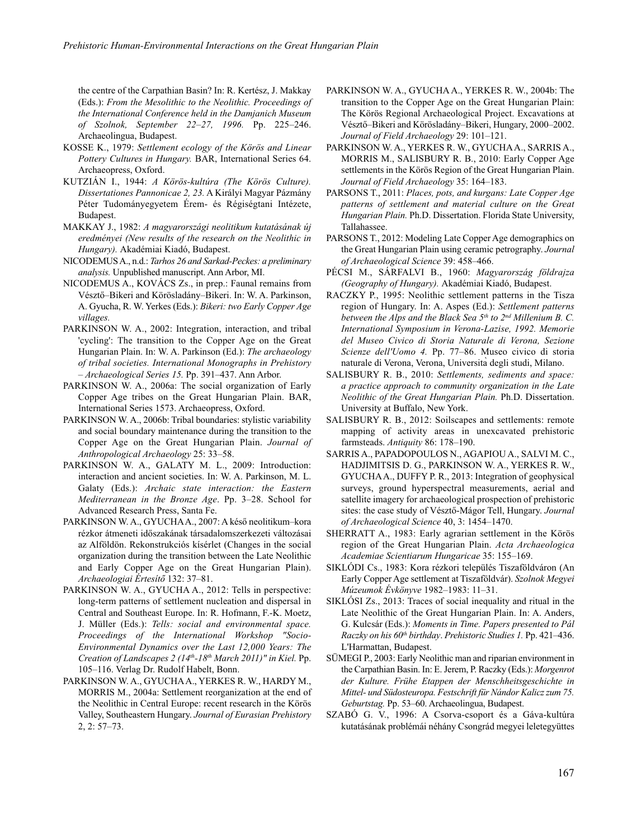the centre of the Carpathian Basin? In: R. Kertész, J. Makkay (Eds.): *From the Mesolithic to the Neolithic. Proceedings of the International Conference held in the Damjanich Museum of Szolnok, September 22–27, 1996.* Pp. 225–246. Archaeolingua, Budapest.

- KOSSE K., 1979: *Settlement ecology of the Körös and Linear Pottery Cultures in Hungary.* BAR, International Series 64. Archaeopress, Oxford.
- KUTZIÁN I., 1944: *A Körös-kultúra (The Körös Culture). Dissertationes Pannonicae 2, 23.* A Királyi Magyar Pázmány Péter Tudományegyetem Érem- és Régiségtani Intézete, Budapest.
- MAKKAY J., 1982: *A magyarországi neolitikum kutatásának új eredményei (New results of the research on the Neolithic in Hungary).* Akadémiai Kiadó, Budapest.
- NICODEMUS A., n.d.: *Tarhos 26 and Sarkad-Peckes: a preliminary analysis.* Unpublished manuscript. Ann Arbor, MI.
- NICODEMUS A., KOVÁCS Zs., in prep.: Faunal remains from Vésztő–Bikeri and Körösladány–Bikeri. In: W. A. Parkinson, A. Gyucha, R. W. Yerkes (Eds.): *Bikeri: two Early Copper Age villages.*
- PARKINSON W. A., 2002: Integration, interaction, and tribal 'cycling': The transition to the Copper Age on the Great Hungarian Plain. In: W. A. Parkinson (Ed.): *The archaeology of tribal societies. International Monographs in Prehistory – Archaeological Series 15.* Pp. 391–437. Ann Arbor.
- PARKINSON W. A., 2006a: The social organization of Early Copper Age tribes on the Great Hungarian Plain. BAR, International Series 1573. Archaeopress, Oxford.
- PARKINSON W. A., 2006b: Tribal boundaries: stylistic variability and social boundary maintenance during the transition to the Copper Age on the Great Hungarian Plain. *Journal of Anthropological Archaeology* 25: 33–58.
- PARKINSON W. A., GALATY M. L., 2009: Introduction: interaction and ancient societies. In: W. A. Parkinson, M. L. Galaty (Eds.): *Archaic state interaction: the Eastern Mediterranean in the Bronze Age*. Pp. 3–28. School for Advanced Research Press, Santa Fe.
- PARKINSON W. A., GYUCHA A., 2007: A késő neolitikum–kora rézkor átmeneti időszakának társadalomszerkezeti változásai az Alföldön. Rekonstrukciós kísérlet (Changes in the social organization during the transition between the Late Neolithic and Early Copper Age on the Great Hungarian Plain). *Archaeologiai Értesítő* 132: 37–81.
- PARKINSON W. A., GYUCHA A., 2012: Tells in perspective: long-term patterns of settlement nucleation and dispersal in Central and Southeast Europe. In: R. Hofmann, F.-K. Moetz, J. Müller (Eds.): *Tells: social and environmental space. Proceedings of the International Workshop "Socio-Environmental Dynamics over the Last 12,000 Years: The Creation of Landscapes 2 (14th-18th March 2011)" in Kiel.* Pp. 105–116. Verlag Dr. Rudolf Habelt, Bonn.
- PARKINSON W. A., GYUCHA A., YERKES R. W., HARDY M., MORRIS M., 2004a: Settlement reorganization at the end of the Neolithic in Central Europe: recent research in the Körös Valley, Southeastern Hungary. *Journal of Eurasian Prehistory* 2, 2: 57–73.
- PARKINSON W. A., GYUCHA A., YERKES R. W., 2004b: The transition to the Copper Age on the Great Hungarian Plain: The Körös Regional Archaeological Project. Excavations at Vésztő–Bikeri and Körösladány–Bikeri, Hungary, 2000–2002. *Journal of Field Archaeology* 29: 101–121.
- PARKINSON W. A., YERKES R. W., GYUCHA A., SARRIS A., MORRIS M., SALISBURY R. B., 2010: Early Copper Age settlements in the Körös Region of the Great Hungarian Plain. *Journal of Field Archaeology* 35: 164–183.
- PARSONS T., 2011: *Places, pots, and kurgans: Late Copper Age patterns of settlement and material culture on the Great Hungarian Plain.* Ph.D. Dissertation. Florida State University, Tallahassee.
- PARSONS T., 2012: Modeling Late Copper Age demographics on the Great Hungarian Plain using ceramic petrography. *Journal of Archaeological Science* 39: 458–466.
- PÉCSI M., SÁRFALVI B., 1960: *Magyarország földrajza (Geography of Hungary).* Akadémiai Kiadó, Budapest.
- RACZKY P., 1995: Neolithic settlement patterns in the Tisza region of Hungary. In: A. Aspes (Ed.): *Settlement patterns between the Alps and the Black Sea 5th to 2nd Millenium B. C. International Symposium in Verona-Lazise, 1992. Memorie del Museo Civico di Storia Naturale di Verona, Sezione Scienze dell'Uomo 4.* Pp. 77–86. Museo civico di storia naturale di Verona, Verona, Università degli studi, Milano.
- SALISBURY R. B., 2010: *Settlements, sediments and space: a practice approach to community organization in the Late Neolithic of the Great Hungarian Plain.* Ph.D. Dissertation. University at Buffalo, New York.
- SALISBURY R. B., 2012: Soilscapes and settlements: remote mapping of activity areas in unexcavated prehistoric farmsteads. *Antiquity* 86: 178–190.
- SARRIS A., PAPADOPOULOS N., AGAPIOU A., SALVI M. C., HADJIMITSIS D. G., PARKINSON W. A., YERKES R. W., GYUCHA A., DUFFY P. R., 2013: Integration of geophysical surveys, ground hyperspectral measurements, aerial and satellite imagery for archaeological prospection of prehistoric sites: the case study of Vésztő-Mágor Tell, Hungary. *Journal of Archaeological Science* 40, 3: 1454–1470.
- SHERRATT A., 1983: Early agrarian settlement in the Körös region of the Great Hungarian Plain. *Acta Archaeologica Academiae Scientiarum Hungaricae* 35: 155–169.
- SIKLÓDI Cs., 1983: Kora rézkori település Tiszaföldváron (An Early Copper Age settlement at Tiszaföldvár). *Szolnok Megyei Múzeumok Évkönyve* 1982–1983: 11–31.
- SIKLÓSI Zs., 2013: Traces of social inequality and ritual in the Late Neolithic of the Great Hungarian Plain. In: A. Anders, G. Kulcsár (Eds.): *Moments in Time. Papers presented to Pál Raczky on his 60th birthday*. *Prehistoric Studies 1.* Pp. 421–436. L'Harmattan, Budapest.
- SÜMEGI P., 2003: Early Neolithic man and riparian environment in the Carpathian Basin. In: E. Jerem, P. Raczky (Eds.): *Morgenrot der Kulture. Frühe Etappen der Menschheitsgeschichte in Mittel- und Südosteuropa. Festschrift für Nándor Kalicz zum 75. Geburtstag.* Pp. 53–60. Archaeolingua, Budapest.
- SZABÓ G. V., 1996: A Csorva-csoport és a Gáva-kultúra kutatásának problémái néhány Csongrád megyei leletegyüttes